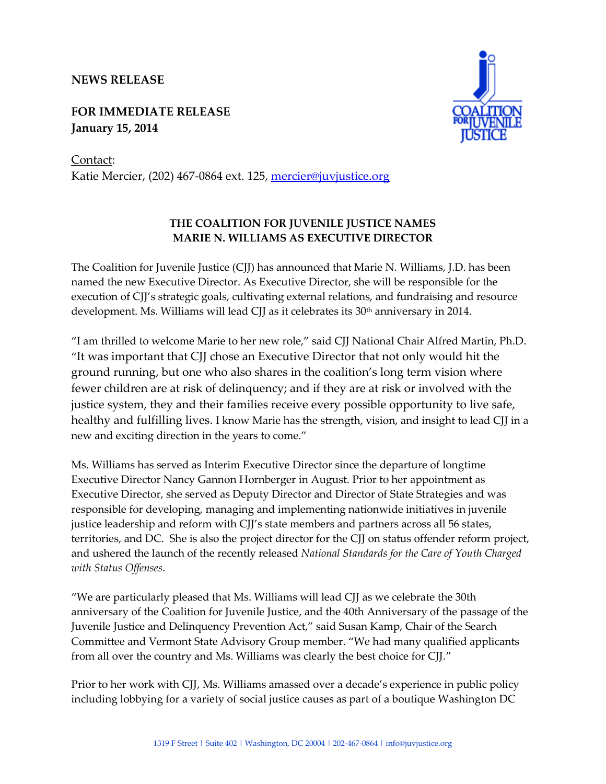## **NEWS RELEASE**

**FOR IMMEDIATE RELEASE January 15, 2014**



Contact: Katie Mercier, (202) 467-0864 ext. 125, [mercier@juvjustice.org](mailto:mercier@juvjustice.org)

## **THE COALITION FOR JUVENILE JUSTICE NAMES MARIE N. WILLIAMS AS EXECUTIVE DIRECTOR**

The Coalition for Juvenile Justice (CJJ) has announced that Marie N. Williams, J.D. has been named the new Executive Director. As Executive Director, she will be responsible for the execution of CJJ's strategic goals, cultivating external relations, and fundraising and resource development. Ms. Williams will lead CJJ as it celebrates its  $30<sup>th</sup>$  anniversary in 2014.

"I am thrilled to welcome Marie to her new role," said CJJ National Chair Alfred Martin, Ph.D. "It was important that CJJ chose an Executive Director that not only would hit the ground running, but one who also shares in the coalition's long term vision where fewer children are at risk of delinquency; and if they are at risk or involved with the justice system, they and their families receive every possible opportunity to live safe, healthy and fulfilling lives. I know Marie has the strength, vision, and insight to lead CJJ in a new and exciting direction in the years to come."

Ms. Williams has served as Interim Executive Director since the departure of longtime Executive Director Nancy Gannon Hornberger in August. Prior to her appointment as Executive Director, she served as Deputy Director and Director of State Strategies and was responsible for developing, managing and implementing nationwide initiatives in juvenile justice leadership and reform with CJJ's state members and partners across all 56 states, territories, and DC. She is also the project director for the CJJ on status offender reform project, and ushered the launch of the recently released *National Standards for the Care of Youth Charged with Status Offenses*.

"We are particularly pleased that Ms. Williams will lead CJJ as we celebrate the 30th anniversary of the Coalition for Juvenile Justice, and the 40th Anniversary of the passage of the Juvenile Justice and Delinquency Prevention Act," said Susan Kamp, Chair of the Search Committee and Vermont State Advisory Group member. "We had many qualified applicants from all over the country and Ms. Williams was clearly the best choice for CJJ."

Prior to her work with CJJ, Ms. Williams amassed over a decade's experience in public policy including lobbying for a variety of social justice causes as part of a boutique Washington DC